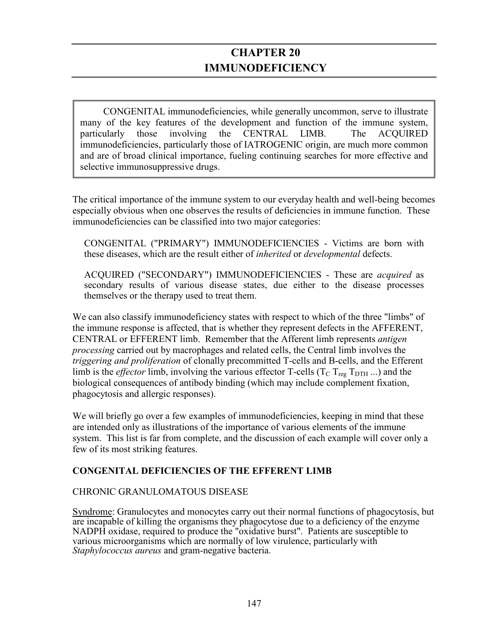# **CHAPTER 20 IMMUNODEFICIENCY**

CONGENITAL immunodeficiencies, while generally uncommon, serve to illustrate many of the key features of the development and function of the immune system, particularly those involving the CENTRAL LIMB. The ACQUIRED immunodeficiencies, particularly those of IATROGENIC origin, are much more common and are of broad clinical importance, fueling continuing searches for more effective and selective immunosuppressive drugs.

The critical importance of the immune system to our everyday health and well-being becomes especially obvious when one observes the results of deficiencies in immune function. These immunodeficiencies can be classified into two major categories:

CONGENITAL ("PRIMARY") IMMUNODEFICIENCIES - Victims are born with these diseases, which are the result either of *inherited* or *developmental* defects.

ACQUIRED ("SECONDARY") IMMUNODEFICIENCIES - These are *acquired* as secondary results of various disease states, due either to the disease processes themselves or the therapy used to treat them.

We can also classify immunodeficiency states with respect to which of the three "limbs" of the immune response is affected, that is whether they represent defects in the AFFERENT, CENTRAL or EFFERENT limb. Remember that the Afferent limb represents *antigen processing* carried out by macrophages and related cells, the Central limb involves the *triggering and proliferation* of clonally precommitted T-cells and B-cells, and the Efferent limb is the *effector* limb, involving the various effector T-cells ( $T_c$   $T_{reg}$   $T_{DTH}$  ...) and the biological consequences of antibody binding (which may include complement fixation, phagocytosis and allergic responses).

We will briefly go over a few examples of immunodeficiencies, keeping in mind that these are intended only as illustrations of the importance of various elements of the immune system. This list is far from complete, and the discussion of each example will cover only a few of its most striking features.

## **CONGENITAL DEFICIENCIES OF THE EFFERENT LIMB**

#### CHRONIC GRANULOMATOUS DISEASE

Syndrome: Granulocytes and monocytes carry out their normal functions of phagocytosis, but are incapable of killing the organisms they phagocytose due to a deficiency of the enzyme NADPH oxidase, required to produce the "oxidative burst". Patients are susceptible to various microorganisms which are normally of low virulence, particularly with *Staphylococcus aureus* and gram-negative bacteria.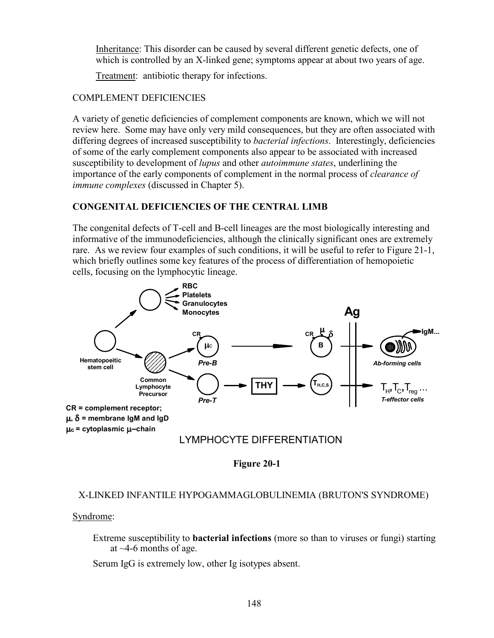Inheritance: This disorder can be caused by several different genetic defects, one of which is controlled by an X-linked gene; symptoms appear at about two years of age.

Treatment: antibiotic therapy for infections.

# COMPLEMENT DEFICIENCIES

A variety of genetic deficiencies of complement components are known, which we will not review here. Some may have only very mild consequences, but they are often associated with differing degrees of increased susceptibility to *bacterial infections*. Interestingly, deficiencies of some of the early complement components also appear to be associated with increased susceptibility to development of *lupus* and other *autoimmune states*, underlining the importance of the early components of complement in the normal process of *clearance of immune complexes* (discussed in Chapter 5).

# **CONGENITAL DEFICIENCIES OF THE CENTRAL LIMB**

The congenital defects of T-cell and B-cell lineages are the most biologically interesting and informative of the immunodeficiencies, although the clinically significant ones are extremely rare. As we review four examples of such conditions, it will be useful to refer to Figure 21-1, which briefly outlines some key features of the process of differentiation of hemopoietic cells, focusing on the lymphocytic lineage.



**Figure 20-1** 

# X-LINKED INFANTILE HYPOGAMMAGLOBULINEMIA (BRUTON'S SYNDROME)

Syndrome:

Extreme susceptibility to **bacterial infections** (more so than to viruses or fungi) starting at  $\sim$ 4-6 months of age.

Serum IgG is extremely low, other Ig isotypes absent.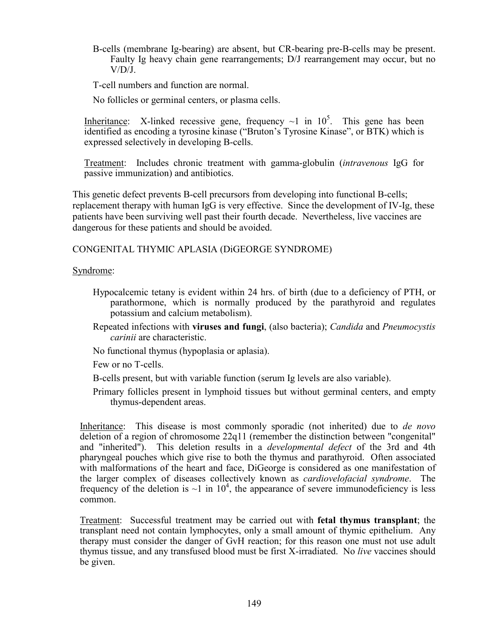B-cells (membrane Ig-bearing) are absent, but CR-bearing pre-B-cells may be present. Faulty Ig heavy chain gene rearrangements; D/J rearrangement may occur, but no  $V/D/J$ .

T-cell numbers and function are normal.

No follicles or germinal centers, or plasma cells.

Inheritance: X-linked recessive gene, frequency  $\sim$ 1 in 10<sup>5</sup>. This gene has been identified as encoding a tyrosine kinase ("Bruton's Tyrosine Kinase", or BTK) which is expressed selectively in developing B-cells.

Treatment: Includes chronic treatment with gamma-globulin (*intravenous* IgG for passive immunization) and antibiotics.

This genetic defect prevents B-cell precursors from developing into functional B-cells; replacement therapy with human IgG is very effective. Since the development of IV-Ig, these patients have been surviving well past their fourth decade. Nevertheless, live vaccines are dangerous for these patients and should be avoided.

#### CONGENITAL THYMIC APLASIA (DiGEORGE SYNDROME)

#### Syndrome:

- Hypocalcemic tetany is evident within 24 hrs. of birth (due to a deficiency of PTH, or parathormone, which is normally produced by the parathyroid and regulates potassium and calcium metabolism).
- Repeated infections with **viruses and fungi**, (also bacteria); *Candida* and *Pneumocystis carinii* are characteristic.
- No functional thymus (hypoplasia or aplasia).

Few or no T-cells.

- B-cells present, but with variable function (serum Ig levels are also variable).
- Primary follicles present in lymphoid tissues but without germinal centers, and empty thymus-dependent areas.

Inheritance: This disease is most commonly sporadic (not inherited) due to *de novo* deletion of a region of chromosome 22q11 (remember the distinction between "congenital" and "inherited"). This deletion results in a *developmental defect* of the 3rd and 4th pharyngeal pouches which give rise to both the thymus and parathyroid. Often associated with malformations of the heart and face, DiGeorge is considered as one manifestation of the larger complex of diseases collectively known as *cardiovelofacial syndrome*. The frequency of the deletion is  $\sim$ 1 in 10<sup>4</sup>, the appearance of severe immunodeficiency is less common.

Treatment: Successful treatment may be carried out with **fetal thymus transplant**; the transplant need not contain lymphocytes, only a small amount of thymic epithelium. Any therapy must consider the danger of GvH reaction; for this reason one must not use adult thymus tissue, and any transfused blood must be first X-irradiated. No *live* vaccines should be given.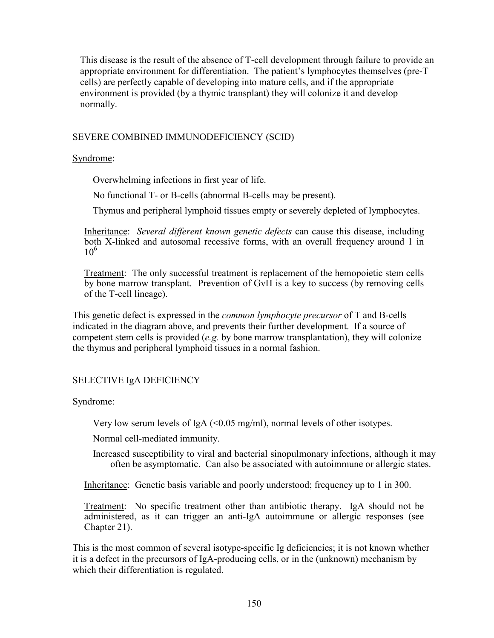This disease is the result of the absence of T-cell development through failure to provide an appropriate environment for differentiation. The patient's lymphocytes themselves (pre-T cells) are perfectly capable of developing into mature cells, and if the appropriate environment is provided (by a thymic transplant) they will colonize it and develop normally.

#### SEVERE COMBINED IMMUNODEFICIENCY (SCID)

#### Syndrome:

Overwhelming infections in first year of life.

No functional T- or B-cells (abnormal B-cells may be present).

Thymus and peripheral lymphoid tissues empty or severely depleted of lymphocytes.

Inheritance: *Several different known genetic defects* can cause this disease, including both X-linked and autosomal recessive forms, with an overall frequency around 1 in  $10^{6}$ 

Treatment: The only successful treatment is replacement of the hemopoietic stem cells by bone marrow transplant. Prevention of GvH is a key to success (by removing cells of the T-cell lineage).

This genetic defect is expressed in the *common lymphocyte precursor* of T and B-cells indicated in the diagram above, and prevents their further development. If a source of competent stem cells is provided (*e.g.* by bone marrow transplantation), they will colonize the thymus and peripheral lymphoid tissues in a normal fashion.

## SELECTIVE IgA DEFICIENCY

#### Syndrome:

Very low serum levels of IgA  $\leq 0.05$  mg/ml), normal levels of other isotypes.

Normal cell-mediated immunity.

Increased susceptibility to viral and bacterial sinopulmonary infections, although it may often be asymptomatic. Can also be associated with autoimmune or allergic states.

Inheritance: Genetic basis variable and poorly understood; frequency up to 1 in 300.

Treatment: No specific treatment other than antibiotic therapy. IgA should not be administered, as it can trigger an anti-IgA autoimmune or allergic responses (see Chapter 21).

This is the most common of several isotype-specific Ig deficiencies; it is not known whether it is a defect in the precursors of IgA-producing cells, or in the (unknown) mechanism by which their differentiation is regulated.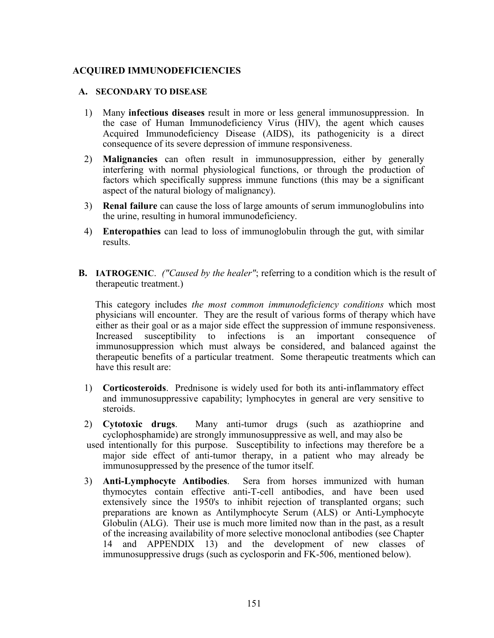#### **ACQUIRED IMMUNODEFICIENCIES**

#### **A. SECONDARY TO DISEASE**

- 1) Many **infectious diseases** result in more or less general immunosuppression. In the case of Human Immunodeficiency Virus (HIV), the agent which causes Acquired Immunodeficiency Disease (AIDS), its pathogenicity is a direct consequence of its severe depression of immune responsiveness.
- 2) **Malignancies** can often result in immunosuppression, either by generally interfering with normal physiological functions, or through the production of factors which specifically suppress immune functions (this may be a significant aspect of the natural biology of malignancy).
- 3) **Renal failure** can cause the loss of large amounts of serum immunoglobulins into the urine, resulting in humoral immunodeficiency.
- 4) **Enteropathies** can lead to loss of immunoglobulin through the gut, with similar results.
- **B. IATROGENIC**. *("Caused by the healer"*; referring to a condition which is the result of therapeutic treatment.)

This category includes *the most common immunodeficiency conditions* which most physicians will encounter. They are the result of various forms of therapy which have either as their goal or as a major side effect the suppression of immune responsiveness. Increased susceptibility to infections is an important consequence of immunosuppression which must always be considered, and balanced against the therapeutic benefits of a particular treatment. Some therapeutic treatments which can have this result are:

- 1) **Corticosteroids**. Prednisone is widely used for both its anti-inflammatory effect and immunosuppressive capability; lymphocytes in general are very sensitive to steroids.
- 2) **Cytotoxic drugs**. Many anti-tumor drugs (such as azathioprine and cyclophosphamide) are strongly immunosuppressive as well, and may also be
- used intentionally for this purpose. Susceptibility to infections may therefore be a major side effect of anti-tumor therapy, in a patient who may already be immunosuppressed by the presence of the tumor itself.
- 3) **Anti-Lymphocyte Antibodies**. Sera from horses immunized with human thymocytes contain effective anti-T-cell antibodies, and have been used extensively since the 1950's to inhibit rejection of transplanted organs; such preparations are known as Antilymphocyte Serum (ALS) or Anti-Lymphocyte Globulin (ALG). Their use is much more limited now than in the past, as a result of the increasing availability of more selective monoclonal antibodies (see Chapter 14 and APPENDIX 13) and the development of new classes of immunosuppressive drugs (such as cyclosporin and FK-506, mentioned below).